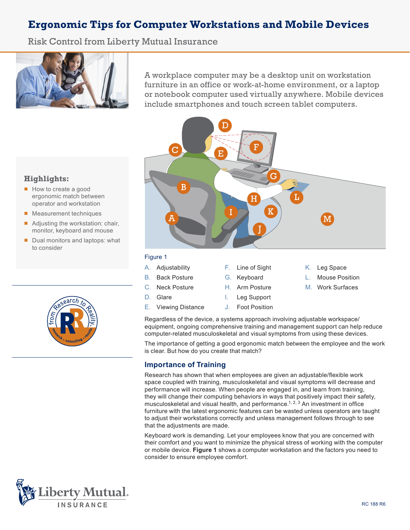# **Ergonomic Tips for Computer Workstations and Mobile Devices**

Risk Control from Liberty Mutual Insurance



A workplace computer may be a desktop unit on workstation furniture in an office or work-at-home environment, or a laptop or notebook computer used virtually anywhere. Mobile devices include smartphones and touch screen tablet computers.



## **Highlights:**

- How to create a good ergonomic match between operator and workstation
- Measurement techniques
- Adjusting the workstation: chair, monitor, keyboard and mouse
- Dual monitors and laptops: what to consider



#### C. Neck Posture D. Glare E. Viewing Distance H. Arm Posture I. Leg Support J. Foot Position M. Work Surfaces

Regardless of the device, a systems approach involving adjustable workspace/ equipment, ongoing comprehensive training and management support can help reduce computer-related musculoskeletal and visual symptoms from using these devices.

The importance of getting a good ergonomic match between the employee and the work is clear. But how do you create that match?

### **Importance of Training**

Research has shown that when employees are given an adjustable/flexible work space coupled with training, musculoskeletal and visual symptoms will decrease and performance will increase. When people are engaged in, and learn from training, they will change their computing behaviors in ways that positively impact their safety, musculoskeletal and visual health, and performance.<sup>1, 2, 3</sup> An investment in office furniture with the latest ergonomic features can be wasted unless operators are taught to adjust their workstations correctly and unless management follows through to see that the adjustments are made.

Keyboard work is demanding. Let your employees know that you are concerned with their comfort and you want to minimize the physical stress of working with the computer or mobile device. **Figure 1** shows a computer workstation and the factors you need to consider to ensure employee comfort.

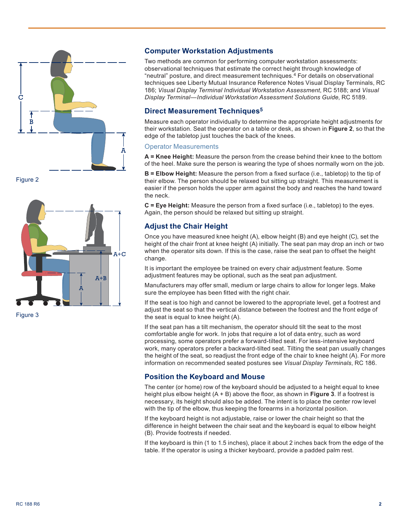

Figure 2



Figure 3

### **Computer Workstation Adjustments**

Two methods are common for performing computer workstation assessments: observational techniques that estimate the correct height through knowledge of "neutral" posture, and direct measurement techniques.4 For details on observational techniques see Liberty Mutual Insurance Reference Notes Visual Display Terminals, RC 186; *Visual Display Terminal Individual Workstation Assessment*, RC 5188; and *Visual Display Terminal—Individual Workstation Assessment Solutions Guide*, RC 5189.

### **Direct Measurement Techniques5**

Measure each operator individually to determine the appropriate height adjustments for their workstation. Seat the operator on a table or desk, as shown in **Figure 2**, so that the edge of the tabletop just touches the back of the knees.

#### Operator Measurements

**A = Knee Height:** Measure the person from the crease behind their knee to the bottom of the heel. Make sure the person is wearing the type of shoes normally worn on the job.

**B = Elbow Height:** Measure the person from a fixed surface (i.e., tabletop) to the tip of their elbow. The person should be relaxed but sitting up straight. This measurement is easier if the person holds the upper arm against the body and reaches the hand toward the neck.

**C = Eye Height:** Measure the person from a fixed surface (i.e., tabletop) to the eyes. Again, the person should be relaxed but sitting up straight.

### **Adjust the Chair Height**

Once you have measured knee height (A), elbow height (B) and eye height (C), set the height of the chair front at knee height (A) initially. The seat pan may drop an inch or two when the operator sits down. If this is the case, raise the seat pan to offset the height change.

It is important the employee be trained on every chair adjustment feature. Some adjustment features may be optional, such as the seat pan adjustment.

Manufacturers may offer small, medium or large chairs to allow for longer legs. Make sure the employee has been fitted with the right chair.

If the seat is too high and cannot be lowered to the appropriate level, get a footrest and adjust the seat so that the vertical distance between the footrest and the front edge of the seat is equal to knee height (A).

If the seat pan has a tilt mechanism, the operator should tilt the seat to the most comfortable angle for work. In jobs that require a lot of data entry, such as word processing, some operators prefer a forward-tilted seat. For less-intensive keyboard work, many operators prefer a backward-tilted seat. Tilting the seat pan usually changes the height of the seat, so readjust the front edge of the chair to knee height (A). For more information on recommended seated postures see *Visual Display Terminals*, RC 186.

### **Position the Keyboard and Mouse**

The center (or home) row of the keyboard should be adjusted to a height equal to knee height plus elbow height (A + B) above the floor, as shown in **Figure 3**. If a footrest is necessary, its height should also be added. The intent is to place the center row level with the tip of the elbow, thus keeping the forearms in a horizontal position.

If the keyboard height is not adjustable, raise or lower the chair height so that the difference in height between the chair seat and the keyboard is equal to elbow height (B). Provide footrests if needed.

If the keyboard is thin (1 to 1.5 inches), place it about 2 inches back from the edge of the table. If the operator is using a thicker keyboard, provide a padded palm rest.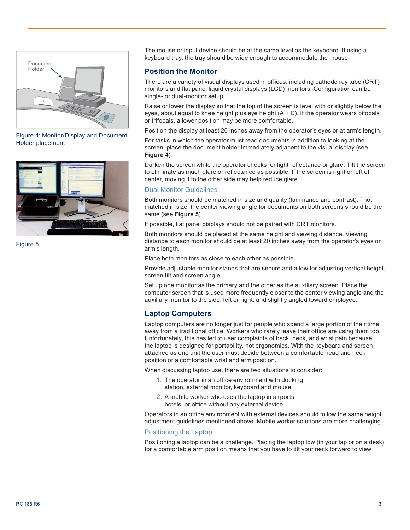

Figure 4: Monitor/Display and Document Holder placement



Figure 5

The mouse or input device should be at the same level as the keyboard. If using a keyboard tray, the tray should be wide enough to accommodate the mouse.

### **Position the Monitor**

There are a variety of visual displays used in offices, including cathode ray tube (CRT) monitors and flat panel liquid crystal displays (LCD) monitors. Configuration can be single- or dual-monitor setup.

Raise or lower the display so that the top of the screen is level with or slightly below the eyes, about equal to knee height plus eye height  $(A + C)$ . If the operator wears bifocals or trifocals, a lower position may be more comfortable.

Position the display at least 20 inches away from the operator's eyes or at arm's length.

For tasks in which the operator must read documents in addition to looking at the screen, place the document holder immediately adjacent to the visual display (see **Figure 4**).

Darken the screen while the operator checks for light reflectance or glare. Tilt the screen to eliminate as much glare or reflectance as possible. If the screen is right or left of center, moving it to the other side may help reduce glare.

#### Dual Monitor Guidelines

Both monitors should be matched in size and quality (luminance and contrast).If not matched in size, the center viewing angle for documents on both screens should be the same (see **Figure 5**).

If possible, flat panel displays should not be paired with CRT monitors.

Both monitors should be placed at the same height and viewing distance. Viewing distance to each monitor should be at least 20 inches away from the operator's eyes or arm's length.

Place both monitors as close to each other as possible.

Provide adjustable monitor stands that are secure and allow for adjusting vertical height, screen tilt and screen angle.

Set up one monitor as the primary and the other as the auxiliary screen. Place the computer screen that is used more frequently closer to the center viewing angle and the auxiliary monitor to the side, left or right, and slightly angled toward employee.

#### **Laptop Computers**

Laptop computers are no longer just for people who spend a large portion of their time away from a traditional office. Workers who rarely leave their office are using them too. Unfortunately, this has led to user complaints of back, neck, and wrist pain because the laptop is designed for portability, not ergonomics. With the keyboard and screen attached as one unit the user must decide between a comfortable head and neck position or a comfortable wrist and arm position.

When discussing laptop use, there are two situations to consider:

- 1. The operator in an office environment with docking station, external monitor, keyboard and mouse
- 2. A mobile worker who uses the laptop in airports, hotels, or office without any external device

Operators in an office environment with external devices should follow the same height adjustment guidelines mentioned above. Mobile worker solutions are more challenging.

#### Positioning the Laptop

Positioning a laptop can be a challenge. Placing the laptop low (in your lap or on a desk) for a comfortable arm position means that you have to tilt your neck forward to view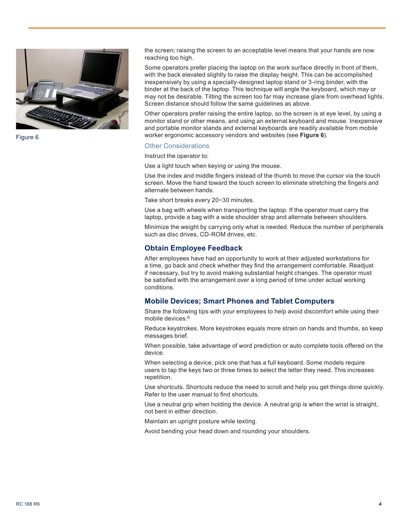

Figure 6

the screen; raising the screen to an acceptable level means that your hands are now reaching too high.

Some operators prefer placing the laptop on the work surface directly in front of them, with the back elevated slightly to raise the display height. This can be accomplished inexpensively by using a specially-designed laptop stand or 3-ring binder, with the binder at the back of the laptop. This technique will angle the keyboard, which may or may not be desirable. Tilting the screen too far may increase glare from overhead lights. Screen distance should follow the same guidelines as above.

Other operators prefer raising the entire laptop, so the screen is at eye level, by using a monitor stand or other means, and using an external keyboard and mouse. Inexpensive and portable monitor stands and external keyboards are readily available from mobile worker ergonomic accessory vendors and websites (see **Figure 6**).

#### Other Considerations

Instruct the operator to:

Use a light touch when keying or using the mouse.

Use the index and middle fingers instead of the thumb to move the cursor via the touch screen. Move the hand toward the touch screen to eliminate stretching the fingers and alternate between hands.

Take short breaks every 20−30 minutes.

Use a bag with wheels when transporting the laptop. If the operator must carry the laptop, provide a bag with a wide shoulder strap and alternate between shoulders.

Minimize the weight by carrying only what is needed. Reduce the number of peripherals such as disc drives, CD-ROM drives, etc.

#### **Obtain Employee Feedback**

After employees have had an opportunity to work at their adjusted workstations for a time, go back and check whether they find the arrangement comfortable. Readjust if necessary, but try to avoid making substantial height changes. The operator must be satisfied with the arrangement over a long period of time under actual working conditions.

#### **Mobile Devices; Smart Phones and Tablet Computers**

Share the following tips with your employees to help avoid discomfort while using their mobile devices.6

Reduce keystrokes. More keystrokes equals more strain on hands and thumbs, so keep messages brief.

When possible, take advantage of word prediction or auto complete tools offered on the device.

When selecting a device, pick one that has a full keyboard. Some models require users to tap the keys two or three times to select the letter they need. This increases repetition.

Use shortcuts. Shortcuts reduce the need to scroll and help you get things done quickly. Refer to the user manual to find shortcuts.

Use a neutral grip when holding the device. A neutral grip is when the wrist is straight, not bent in either direction.

Maintain an upright posture while texting.

Avoid bending your head down and rounding your shoulders.